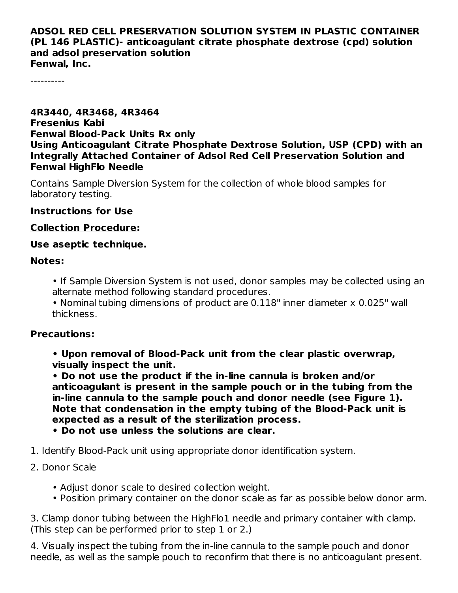#### **ADSOL RED CELL PRESERVATION SOLUTION SYSTEM IN PLASTIC CONTAINER (PL 146 PLASTIC)- anticoagulant citrate phosphate dextrose (cpd) solution and adsol preservation solution Fenwal, Inc.**

----------

#### **4R3440, 4R3468, 4R3464 Fresenius Kabi Fenwal Blood-Pack Units Rx only Using Anticoagulant Citrate Phosphate Dextrose Solution, USP (CPD) with an Integrally Attached Container of Adsol Red Cell Preservation Solution and Fenwal HighFlo Needle**

Contains Sample Diversion System for the collection of whole blood samples for laboratory testing.

#### **Instructions for Use**

#### **Collection Procedure:**

### **Use aseptic technique.**

#### **Notes:**

- If Sample Diversion System is not used, donor samples may be collected using an alternate method following standard procedures.
- Nominal tubing dimensions of product are 0.118" inner diameter x 0.025" wall thickness.

# **Precautions:**

**• Upon removal of Blood-Pack unit from the clear plastic overwrap, visually inspect the unit.**

**• Do not use the product if the in-line cannula is broken and/or anticoagulant is present in the sample pouch or in the tubing from the in-line cannula to the sample pouch and donor needle (see Figure 1). Note that condensation in the empty tubing of the Blood-Pack unit is expected as a result of the sterilization process.**

- **• Do not use unless the solutions are clear.**
- 1. Identify Blood-Pack unit using appropriate donor identification system.

# 2. Donor Scale

- Adjust donor scale to desired collection weight.
- Position primary container on the donor scale as far as possible below donor arm.

3. Clamp donor tubing between the HighFlo1 needle and primary container with clamp. (This step can be performed prior to step 1 or 2.)

4. Visually inspect the tubing from the in-line cannula to the sample pouch and donor needle, as well as the sample pouch to reconfirm that there is no anticoagulant present.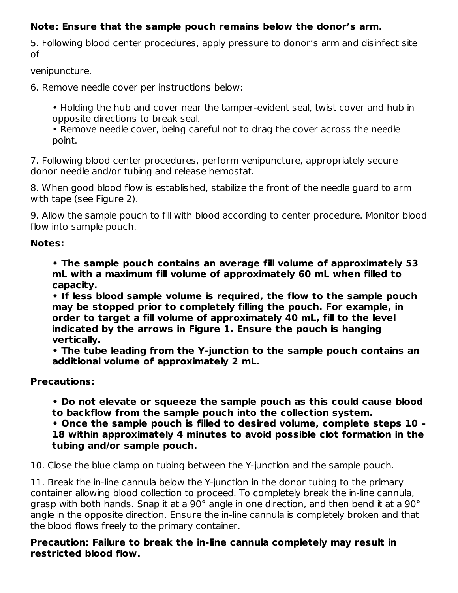# **Note: Ensure that the sample pouch remains below the donor's arm.**

5. Following blood center procedures, apply pressure to donor's arm and disinfect site of

venipuncture.

6. Remove needle cover per instructions below:

• Holding the hub and cover near the tamper-evident seal, twist cover and hub in opposite directions to break seal.

• Remove needle cover, being careful not to drag the cover across the needle point.

7. Following blood center procedures, perform venipuncture, appropriately secure donor needle and/or tubing and release hemostat.

8. When good blood flow is established, stabilize the front of the needle guard to arm with tape (see Figure 2).

9. Allow the sample pouch to fill with blood according to center procedure. Monitor blood flow into sample pouch.

# **Notes:**

**• The sample pouch contains an average fill volume of approximately 53 mL with a maximum fill volume of approximately 60 mL when filled to capacity.**

**• If less blood sample volume is required, the flow to the sample pouch may be stopped prior to completely filling the pouch. For example, in order to target a fill volume of approximately 40 mL, fill to the level indicated by the arrows in Figure 1. Ensure the pouch is hanging vertically.**

**• The tube leading from the Y-junction to the sample pouch contains an additional volume of approximately 2 mL.**

# **Precautions:**

**• Do not elevate or squeeze the sample pouch as this could cause blood to backflow from the sample pouch into the collection system.**

**• Once the sample pouch is filled to desired volume, complete steps 10 – 18 within approximately 4 minutes to avoid possible clot formation in the tubing and/or sample pouch.**

10. Close the blue clamp on tubing between the Y-junction and the sample pouch.

11. Break the in-line cannula below the Y-junction in the donor tubing to the primary container allowing blood collection to proceed. To completely break the in-line cannula, grasp with both hands. Snap it at a 90° angle in one direction, and then bend it at a 90° angle in the opposite direction. Ensure the in-line cannula is completely broken and that the blood flows freely to the primary container.

**Precaution: Failure to break the in-line cannula completely may result in restricted blood flow.**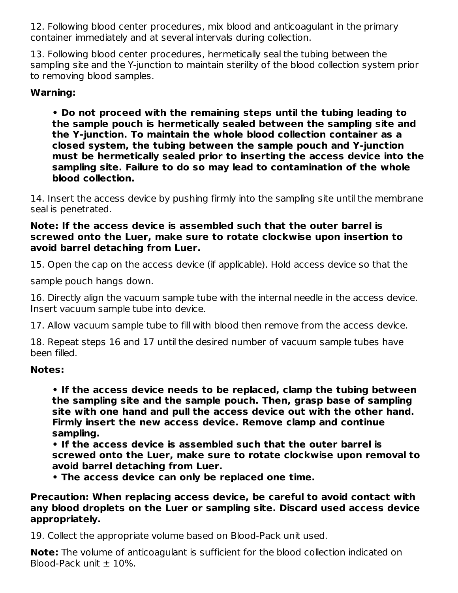12. Following blood center procedures, mix blood and anticoagulant in the primary container immediately and at several intervals during collection.

13. Following blood center procedures, hermetically seal the tubing between the sampling site and the Y-junction to maintain sterility of the blood collection system prior to removing blood samples.

# **Warning:**

**• Do not proceed with the remaining steps until the tubing leading to the sample pouch is hermetically sealed between the sampling site and the Y-junction. To maintain the whole blood collection container as a closed system, the tubing between the sample pouch and Y-junction must be hermetically sealed prior to inserting the access device into the sampling site. Failure to do so may lead to contamination of the whole blood collection.**

14. Insert the access device by pushing firmly into the sampling site until the membrane seal is penetrated.

#### **Note: If the access device is assembled such that the outer barrel is screwed onto the Luer, make sure to rotate clockwise upon insertion to avoid barrel detaching from Luer.**

15. Open the cap on the access device (if applicable). Hold access device so that the

sample pouch hangs down.

16. Directly align the vacuum sample tube with the internal needle in the access device. Insert vacuum sample tube into device.

17. Allow vacuum sample tube to fill with blood then remove from the access device.

18. Repeat steps 16 and 17 until the desired number of vacuum sample tubes have been filled.

# **Notes:**

**• If the access device needs to be replaced, clamp the tubing between the sampling site and the sample pouch. Then, grasp base of sampling site with one hand and pull the access device out with the other hand. Firmly insert the new access device. Remove clamp and continue sampling.**

**• If the access device is assembled such that the outer barrel is screwed onto the Luer, make sure to rotate clockwise upon removal to avoid barrel detaching from Luer.**

**• The access device can only be replaced one time.**

## **Precaution: When replacing access device, be careful to avoid contact with any blood droplets on the Luer or sampling site. Discard used access device appropriately.**

19. Collect the appropriate volume based on Blood-Pack unit used.

**Note:** The volume of anticoagulant is sufficient for the blood collection indicated on Blood-Pack unit  $\pm$  10%.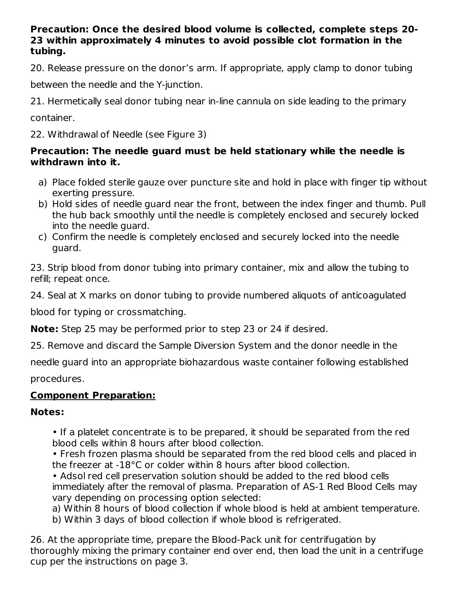## **Precaution: Once the desired blood volume is collected, complete steps 20- 23 within approximately 4 minutes to avoid possible clot formation in the tubing.**

20. Release pressure on the donor's arm. If appropriate, apply clamp to donor tubing

between the needle and the Y-junction.

21. Hermetically seal donor tubing near in-line cannula on side leading to the primary

container.

22. Withdrawal of Needle (see Figure 3)

# **Precaution: The needle guard must be held stationary while the needle is withdrawn into it.**

- a) Place folded sterile gauze over puncture site and hold in place with finger tip without exerting pressure.
- b) Hold sides of needle guard near the front, between the index finger and thumb. Pull the hub back smoothly until the needle is completely enclosed and securely locked into the needle guard.
- c) Confirm the needle is completely enclosed and securely locked into the needle guard.

23. Strip blood from donor tubing into primary container, mix and allow the tubing to refill; repeat once.

24. Seal at X marks on donor tubing to provide numbered aliquots of anticoagulated

blood for typing or crossmatching.

**Note:** Step 25 may be performed prior to step 23 or 24 if desired.

25. Remove and discard the Sample Diversion System and the donor needle in the

needle guard into an appropriate biohazardous waste container following established procedures.

# **Component Preparation:**

# **Notes:**

• If a platelet concentrate is to be prepared, it should be separated from the red blood cells within 8 hours after blood collection.

• Fresh frozen plasma should be separated from the red blood cells and placed in the freezer at -18°C or colder within 8 hours after blood collection.

• Adsol red cell preservation solution should be added to the red blood cells immediately after the removal of plasma. Preparation of AS-1 Red Blood Cells may vary depending on processing option selected:

a) Within 8 hours of blood collection if whole blood is held at ambient temperature.

b) Within 3 days of blood collection if whole blood is refrigerated.

26. At the appropriate time, prepare the Blood-Pack unit for centrifugation by thoroughly mixing the primary container end over end, then load the unit in a centrifuge cup per the instructions on page 3.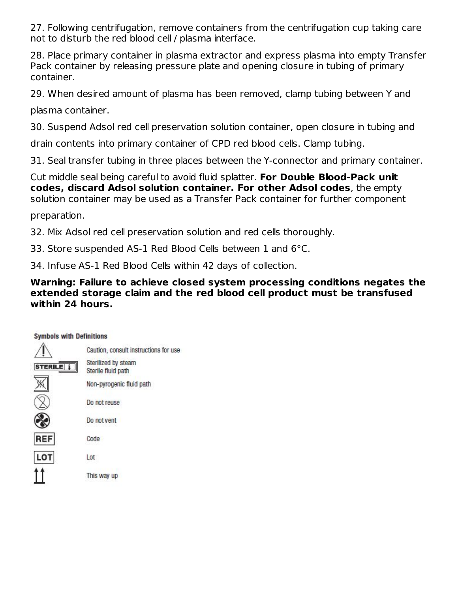27. Following centrifugation, remove containers from the centrifugation cup taking care not to disturb the red blood cell / plasma interface.

28. Place primary container in plasma extractor and express plasma into empty Transfer Pack container by releasing pressure plate and opening closure in tubing of primary container.

29. When desired amount of plasma has been removed, clamp tubing between Y and

plasma container.

30. Suspend Adsol red cell preservation solution container, open closure in tubing and

drain contents into primary container of CPD red blood cells. Clamp tubing.

31. Seal transfer tubing in three places between the Y-connector and primary container.

Cut middle seal being careful to avoid fluid splatter. **For Double Blood-Pack unit codes, discard Adsol solution container. For other Adsol codes**, the empty solution container may be used as a Transfer Pack container for further component

preparation.

32. Mix Adsol red cell preservation solution and red cells thoroughly.

33. Store suspended AS-1 Red Blood Cells between 1 and 6°C.

34. Infuse AS-1 Red Blood Cells within 42 days of collection.

# **Warning: Failure to achieve closed system processing conditions negates the extended storage claim and the red blood cell product must be transfused within 24 hours.**

| <b>Symbols with Definitions</b> |                                           |
|---------------------------------|-------------------------------------------|
|                                 | Caution, consult instructions for use     |
|                                 | Sterilized by steam<br>Sterile fluid path |
|                                 | Non-pyrogenic fluid path                  |
|                                 | Do not reuse                              |
|                                 | Do not vent                               |
| REF                             | Code                                      |
| LOT                             | Lot                                       |
|                                 | This way up                               |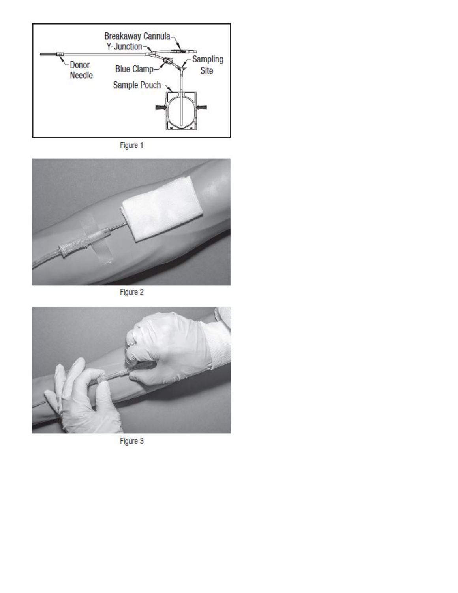





Figure 2



Figure 3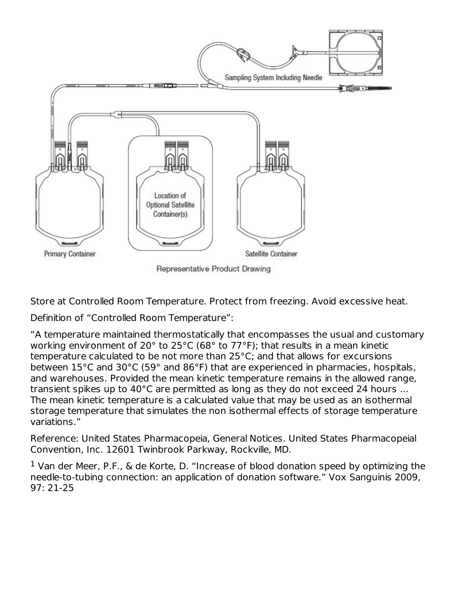

**Representative Product Drawing** 

Store at Controlled Room Temperature. Protect from freezing. Avoid excessive heat.

Definition of "Controlled Room Temperature":

"A temperature maintained thermostatically that encompasses the usual and customary working environment of 20° to 25°C (68° to 77°F); that results in a mean kinetic temperature calculated to be not more than 25°C; and that allows for excursions between 15°C and 30°C (59° and 86°F) that are experienced in pharmacies, hospitals, and warehouses. Provided the mean kinetic temperature remains in the allowed range, transient spikes up to 40°C are permitted as long as they do not exceed 24 hours ... The mean kinetic temperature is a calculated value that may be used as an isothermal storage temperature that simulates the non isothermal effects of storage temperature variations."

Reference: United States Pharmacopeia, General Notices. United States Pharmacopeial Convention, Inc. 12601 Twinbrook Parkway, Rockville, MD.

 $1$  Van der Meer, P.F., & de Korte, D. "Increase of blood donation speed by optimizing the needle-to-tubing connection: an application of donation software." Vox Sanguinis 2009, 97: 21-25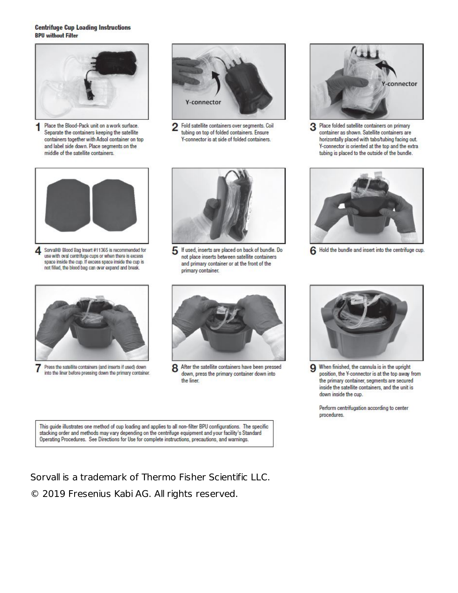#### **Centrifuge Cup Loading Instructions BPU without Filter**



1 Place the Blood-Pack unit on a work surface. Separate the containers keeping the satellite containers together with Adsol container on top and label side down. Place segments on the middle of the satellite containers.



Fold satellite containers over segments. Coil 2 tubing on top of folded containers. Ensure Y-connector is at side of folded containers.



Place folded satellite containers on primary 3 container as shown. Satellite containers are horizontally placed with tabs/tubing facing out. Y-connector is oriented at the top and the extra tubing is placed to the outside of the bundle.



Sorvall® Blood Bag Insert #11365 is recommended for 4 use with oval centrifuge cups or when there is excess space inside the cup. If excess space inside the cup is not filled, the blood bag can over expand and break.



Press the satellite containers (and inserts if used) down  $\prime$ into the liner before pressing down the primary container.



5 If used, inserts are placed on back of bundle. Do not place inserts between satellite containers and primary container or at the front of the primary container.



6 Hold the bundle and insert into the centrifuge cup.



After the satellite containers have been pressed 8 down, press the primary container down into the liner.



When finished, the cannula is in the upright 9 position, the Y-connector is at the top away from the primary container, segments are secured inside the satellite containers, and the unit is down inside the cup.

Perform centrifugation according to center procedures.

This guide illustrates one method of cup loading and applies to all non-filter BPU configurations. The specific stacking order and methods may vary depending on the centrifuge equipment and your facility's Standard Operating Procedures. See Directions for Use for complete instructions, precautions, and warnings.

Sorvall is a trademark of Thermo Fisher Scientific LLC. © 2019 Fresenius Kabi AG. All rights reserved.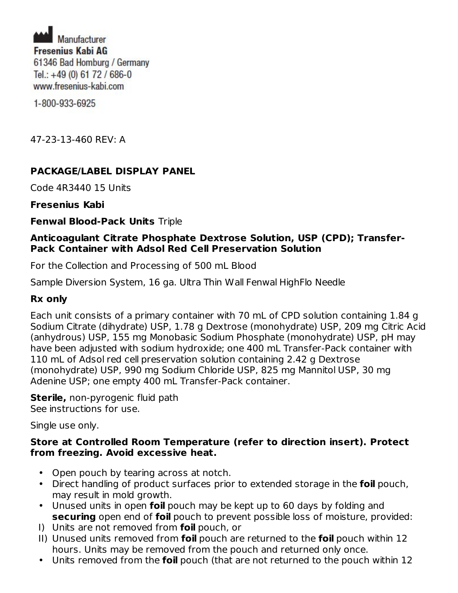Manufacturer **Fresenius Kabi AG** 61346 Bad Homburg / Germany Tel.: +49 (0) 61 72 / 686-0 www.fresenius-kabi.com

1-800-933-6925

47-23-13-460 REV: A

# **PACKAGE/LABEL DISPLAY PANEL**

Code 4R3440 15 Units

**Fresenius Kabi**

**Fenwal Blood-Pack Units** Triple

#### **Anticoagulant Citrate Phosphate Dextrose Solution, USP (CPD); Transfer-Pack Container with Adsol Red Cell Preservation Solution**

For the Collection and Processing of 500 mL Blood

Sample Diversion System, 16 ga. Ultra Thin Wall Fenwal HighFlo Needle

#### **Rx only**

Each unit consists of a primary container with 70 mL of CPD solution containing 1.84 g Sodium Citrate (dihydrate) USP, 1.78 g Dextrose (monohydrate) USP, 209 mg Citric Acid (anhydrous) USP, 155 mg Monobasic Sodium Phosphate (monohydrate) USP, pH may have been adjusted with sodium hydroxide; one 400 mL Transfer-Pack container with 110 mL of Adsol red cell preservation solution containing 2.42 g Dextrose (monohydrate) USP, 990 mg Sodium Chloride USP, 825 mg Mannitol USP, 30 mg Adenine USP; one empty 400 mL Transfer-Pack container.

**Sterile,** non-pyrogenic fluid path See instructions for use.

Single use only.

#### **Store at Controlled Room Temperature (refer to direction insert). Protect from freezing. Avoid excessive heat.**

- Open pouch by tearing across at notch.
- Direct handling of product surfaces prior to extended storage in the **foil** pouch, may result in mold growth.
- Unused units in open **foil** pouch may be kept up to 60 days by folding and **securing** open end of **foil** pouch to prevent possible loss of moisture, provided:
- I) Units are not removed from **foil** pouch, or
- II) Unused units removed from **foil** pouch are returned to the **foil** pouch within 12 hours. Units may be removed from the pouch and returned only once.
- Units removed from the **foil** pouch (that are not returned to the pouch within 12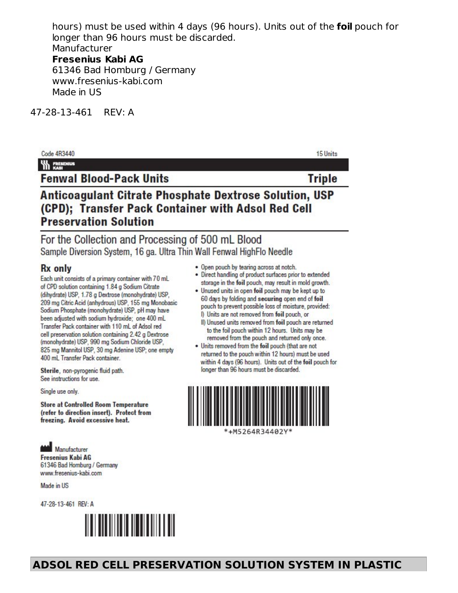hours) must be used within 4 days (96 hours). Units out of the **foil** pouch for longer than 96 hours must be discarded. Manufacturer **Fresenius Kabi AG** 61346 Bad Homburg / Germany www.fresenius-kabi.com

Made in US

47-28-13-461 REV: A

| Code 4R3440                                                                                                                                  | 15 Units      |
|----------------------------------------------------------------------------------------------------------------------------------------------|---------------|
| <b>WA FRESENIUS</b>                                                                                                                          |               |
| <b>Fenwal Blood-Pack Units</b>                                                                                                               | <b>Triple</b> |
| Anticoagulant Citrate Phosphate Dextrose Solution, USP<br>(CPD); Transfer Pack Container with Adsol Red Cell<br><b>Preservation Solution</b> |               |
| For the Collection and Processing of 500 mL Blood                                                                                            |               |

Sample Diversion System, 16 ga. Ultra Thin Wall Fenwal HighFlo Needle

#### **Rx** only

Each unit consists of a primary container with 70 mL of CPD solution containing 1.84 g Sodium Citrate (dihydrate) USP, 1.78 g Dextrose (monohydrate) USP, 209 mg Citric Acid (anhydrous) USP, 155 mg Monobasic Sodium Phosphate (monohydrate) USP, pH may have been adjusted with sodium hydroxide: one 400 mL Transfer Pack container with 110 mL of Adsol red cell preservation solution containing 2.42 g Dextrose (monohydrate) USP, 990 mg Sodium Chloride USP, 825 mg Mannitol USP, 30 mg Adenine USP; one empty 400 mL Transfer Pack container.

Sterile, non-pyrogenic fluid path. See instructions for use.

Single use only.

**Store at Controlled Room Temperature** (refer to direction insert). Protect from freezing. Avoid excessive heat.

**Manufacturer Fresenius Kabi AG** 61346 Bad Homburg / Germany www.fresenius-kabi.com

Made in US

47-28-13-461 REV: A



- . Open pouch by tearing across at notch.
- Direct handling of product surfaces prior to extended storage in the foil pouch, may result in mold growth.
- . Unused units in open foil pouch may be kept up to 60 days by folding and securing open end of foil pouch to prevent possible loss of moisture, provided: I) Units are not removed from foil pouch, or
- II) Unused units removed from foil pouch are returned to the foil pouch within 12 hours. Units may be removed from the pouch and returned only once.
- . Units removed from the foil pouch (that are not returned to the pouch within 12 hours) must be used within 4 days (96 hours). Units out of the foil pouch for longer than 96 hours must be discarded.

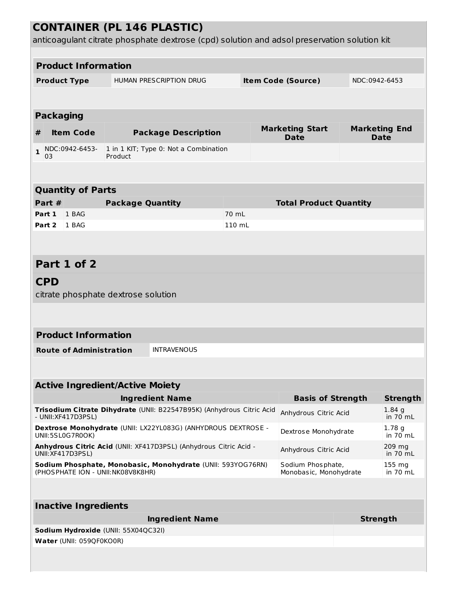| <b>CONTAINER (PL 146 PLASTIC)</b>                                                                |                     |                                |                                        |                                                                                             |                                                                   |                    |                                       |                                     |                 |
|--------------------------------------------------------------------------------------------------|---------------------|--------------------------------|----------------------------------------|---------------------------------------------------------------------------------------------|-------------------------------------------------------------------|--------------------|---------------------------------------|-------------------------------------|-----------------|
|                                                                                                  |                     |                                |                                        | anticoagulant citrate phosphate dextrose (cpd) solution and adsol preservation solution kit |                                                                   |                    |                                       |                                     |                 |
|                                                                                                  |                     | <b>Product Information</b>     |                                        |                                                                                             |                                                                   |                    |                                       |                                     |                 |
|                                                                                                  |                     |                                |                                        |                                                                                             |                                                                   |                    |                                       |                                     |                 |
|                                                                                                  | <b>Product Type</b> |                                |                                        | HUMAN PRESCRIPTION DRUG                                                                     |                                                                   |                    | <b>Item Code (Source)</b>             | NDC:0942-6453                       |                 |
|                                                                                                  |                     |                                |                                        |                                                                                             |                                                                   |                    |                                       |                                     |                 |
|                                                                                                  | <b>Packaging</b>    |                                |                                        |                                                                                             |                                                                   |                    |                                       |                                     |                 |
| #                                                                                                |                     | <b>Item Code</b>               |                                        | <b>Package Description</b>                                                                  |                                                                   |                    | <b>Marketing Start</b><br><b>Date</b> | <b>Marketing End</b><br><b>Date</b> |                 |
| $\mathbf{1}$                                                                                     | 03                  | NDC:0942-6453-                 | Product                                | 1 in 1 KIT; Type 0: Not a Combination                                                       |                                                                   |                    |                                       |                                     |                 |
|                                                                                                  |                     |                                |                                        |                                                                                             |                                                                   |                    |                                       |                                     |                 |
|                                                                                                  |                     |                                |                                        |                                                                                             |                                                                   |                    |                                       |                                     |                 |
|                                                                                                  |                     | <b>Quantity of Parts</b>       |                                        |                                                                                             |                                                                   |                    |                                       |                                     |                 |
|                                                                                                  | Part #              |                                | <b>Package Quantity</b>                |                                                                                             |                                                                   |                    | <b>Total Product Quantity</b>         |                                     |                 |
| Part 1                                                                                           |                     | 1 BAG                          |                                        |                                                                                             | 70 mL                                                             |                    |                                       |                                     |                 |
| Part 2                                                                                           |                     | 1 BAG                          |                                        |                                                                                             | 110 mL                                                            |                    |                                       |                                     |                 |
|                                                                                                  |                     |                                |                                        |                                                                                             |                                                                   |                    |                                       |                                     |                 |
|                                                                                                  |                     | Part 1 of 2                    |                                        |                                                                                             |                                                                   |                    |                                       |                                     |                 |
|                                                                                                  |                     |                                |                                        |                                                                                             |                                                                   |                    |                                       |                                     |                 |
| <b>CPD</b>                                                                                       |                     |                                |                                        |                                                                                             |                                                                   |                    |                                       |                                     |                 |
|                                                                                                  |                     |                                | citrate phosphate dextrose solution    |                                                                                             |                                                                   |                    |                                       |                                     |                 |
|                                                                                                  |                     |                                |                                        |                                                                                             |                                                                   |                    |                                       |                                     |                 |
|                                                                                                  |                     | <b>Product Information</b>     |                                        |                                                                                             |                                                                   |                    |                                       |                                     |                 |
|                                                                                                  |                     |                                |                                        |                                                                                             |                                                                   |                    |                                       |                                     |                 |
|                                                                                                  |                     | <b>Route of Administration</b> |                                        | <b>INTRAVENOUS</b>                                                                          |                                                                   |                    |                                       |                                     |                 |
|                                                                                                  |                     |                                |                                        |                                                                                             |                                                                   |                    |                                       |                                     |                 |
|                                                                                                  |                     |                                | <b>Active Ingredient/Active Moiety</b> |                                                                                             |                                                                   |                    |                                       |                                     |                 |
|                                                                                                  |                     |                                |                                        | <b>Ingredient Name</b>                                                                      |                                                                   |                    | <b>Basis of Strength</b>              |                                     | <b>Strength</b> |
| Trisodium Citrate Dihydrate (UNII: B22547B95K) (Anhydrous Citric Acid<br>- UNII: XF417D3PSL)     |                     |                                |                                        |                                                                                             | Anhydrous Citric Acid                                             |                    | 1.84 <sub>q</sub><br>in $70$ mL       |                                     |                 |
| Dextrose Monohydrate (UNII: LX22YL083G) (ANHYDROUS DEXTROSE -<br>UNII:5SL0G7R0OK)                |                     |                                | Dextrose Monohydrate                   |                                                                                             | 1.78 <sub>g</sub><br>in $70$ mL                                   |                    |                                       |                                     |                 |
| Anhydrous Citric Acid (UNII: XF417D3PSL) (Anhydrous Citric Acid -<br>UNII: XF417D3PSL)           |                     |                                |                                        | Anhydrous Citric Acid                                                                       |                                                                   | 209 mg<br>in 70 mL |                                       |                                     |                 |
| Sodium Phosphate, Monobasic, Monohydrate (UNII: 593YOG76RN)<br>(PHOSPHATE ION - UNII:NK08V8K8HR) |                     |                                |                                        |                                                                                             | Sodium Phosphate,<br>155 mg<br>Monobasic, Monohydrate<br>in 70 mL |                    |                                       |                                     |                 |
|                                                                                                  |                     |                                |                                        |                                                                                             |                                                                   |                    |                                       |                                     |                 |
|                                                                                                  |                     |                                |                                        |                                                                                             |                                                                   |                    |                                       |                                     |                 |
|                                                                                                  |                     | <b>Inactive Ingredients</b>    |                                        |                                                                                             |                                                                   |                    |                                       |                                     |                 |
|                                                                                                  |                     |                                |                                        | <b>Ingredient Name</b>                                                                      |                                                                   |                    |                                       | <b>Strength</b>                     |                 |
|                                                                                                  |                     | Water (UNII: 059QF0KO0R)       | Sodium Hydroxide (UNII: 55X04QC32I)    |                                                                                             |                                                                   |                    |                                       |                                     |                 |
|                                                                                                  |                     |                                |                                        |                                                                                             |                                                                   |                    |                                       |                                     |                 |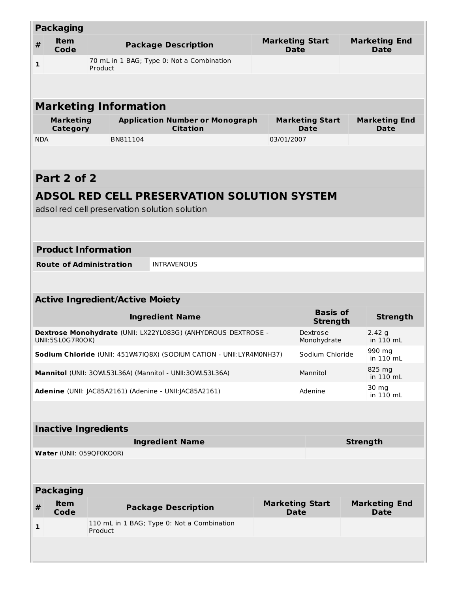| <b>Packaging</b>                                                                            |                                                                       |                                                      |                                                                                                    |                                       |                                    |                                     |                               |
|---------------------------------------------------------------------------------------------|-----------------------------------------------------------------------|------------------------------------------------------|----------------------------------------------------------------------------------------------------|---------------------------------------|------------------------------------|-------------------------------------|-------------------------------|
| $\pmb{\#}$                                                                                  | <b>Item</b><br>Code                                                   | <b>Package Description</b>                           |                                                                                                    | <b>Marketing Start</b><br><b>Date</b> |                                    | <b>Marketing End</b><br><b>Date</b> |                               |
| 1                                                                                           |                                                                       | 70 mL in 1 BAG; Type 0: Not a Combination<br>Product |                                                                                                    |                                       |                                    |                                     |                               |
|                                                                                             |                                                                       |                                                      |                                                                                                    |                                       |                                    |                                     |                               |
|                                                                                             |                                                                       | <b>Marketing Information</b>                         |                                                                                                    |                                       |                                    |                                     |                               |
|                                                                                             | <b>Marketing</b><br>Category                                          |                                                      | <b>Application Number or Monograph</b><br><b>Marketing Start</b><br><b>Citation</b><br><b>Date</b> |                                       |                                    | <b>Marketing End</b><br>Date        |                               |
| <b>NDA</b>                                                                                  |                                                                       | BN811104                                             |                                                                                                    | 03/01/2007                            |                                    |                                     |                               |
|                                                                                             |                                                                       |                                                      |                                                                                                    |                                       |                                    |                                     |                               |
|                                                                                             | Part 2 of 2                                                           |                                                      |                                                                                                    |                                       |                                    |                                     |                               |
|                                                                                             |                                                                       |                                                      | <b>ADSOL RED CELL PRESERVATION SOLUTION SYSTEM</b>                                                 |                                       |                                    |                                     |                               |
|                                                                                             |                                                                       | adsol red cell preservation solution solution        |                                                                                                    |                                       |                                    |                                     |                               |
|                                                                                             |                                                                       |                                                      |                                                                                                    |                                       |                                    |                                     |                               |
|                                                                                             |                                                                       | <b>Product Information</b>                           |                                                                                                    |                                       |                                    |                                     |                               |
|                                                                                             |                                                                       | <b>Route of Administration</b>                       | <b>INTRAVENOUS</b>                                                                                 |                                       |                                    |                                     |                               |
|                                                                                             |                                                                       |                                                      |                                                                                                    |                                       |                                    |                                     |                               |
|                                                                                             |                                                                       | <b>Active Ingredient/Active Moiety</b>               |                                                                                                    |                                       |                                    |                                     |                               |
|                                                                                             |                                                                       |                                                      | <b>Ingredient Name</b>                                                                             |                                       | <b>Basis of</b><br><b>Strength</b> |                                     | <b>Strength</b>               |
|                                                                                             | UNII:5SL0G7R0OK)                                                      |                                                      | Dextrose Monohydrate (UNII: LX22YL083G) (ANHYDROUS DEXTROSE -                                      |                                       | Dextrose<br>Monohydrate            |                                     | 2.42g<br>in 110 mL            |
|                                                                                             |                                                                       |                                                      | Sodium Chloride (UNII: 451W47IQ8X) (SODIUM CATION - UNII:LYR4M0NH37)                               |                                       | Sodium Chloride                    |                                     | 990 mg<br>in $110 \text{ mL}$ |
| 825 mg<br>Mannitol (UNII: 30WL53L36A) (Mannitol - UNII:30WL53L36A)<br>Mannitol<br>in 110 mL |                                                                       |                                                      |                                                                                                    |                                       |                                    |                                     |                               |
|                                                                                             |                                                                       |                                                      | Adenine (UNII: JAC85A2161) (Adenine - UNII:JAC85A2161)                                             |                                       | Adenine                            |                                     | 30 mg<br>in 110 mL            |
|                                                                                             |                                                                       |                                                      |                                                                                                    |                                       |                                    |                                     |                               |
| <b>Inactive Ingredients</b>                                                                 |                                                                       |                                                      |                                                                                                    |                                       |                                    |                                     |                               |
|                                                                                             | <b>Ingredient Name</b><br><b>Strength</b><br>Water (UNII: 059QF0KO0R) |                                                      |                                                                                                    |                                       |                                    |                                     |                               |
|                                                                                             |                                                                       |                                                      |                                                                                                    |                                       |                                    |                                     |                               |
|                                                                                             |                                                                       |                                                      |                                                                                                    |                                       |                                    |                                     |                               |
|                                                                                             | <b>Packaging</b><br><b>Item</b>                                       |                                                      |                                                                                                    |                                       | <b>Marketing Start</b>             |                                     | <b>Marketing End</b>          |
| #                                                                                           | Code                                                                  |                                                      | <b>Package Description</b>                                                                         |                                       | <b>Date</b>                        |                                     | <b>Date</b>                   |
| $\mathbf{1}$                                                                                |                                                                       | Product                                              | 110 mL in 1 BAG; Type 0: Not a Combination                                                         |                                       |                                    |                                     |                               |
|                                                                                             |                                                                       |                                                      |                                                                                                    |                                       |                                    |                                     |                               |